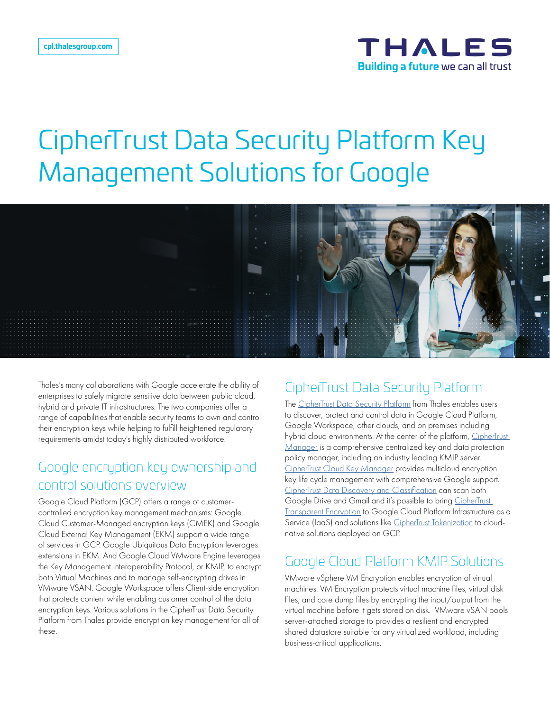

# CipherTrust Data Security Platform Key Management Solutions for Google



Thales's many collaborations with Google accelerate the ability of enterprises to safely migrate sensitive data between public cloud, hybrid and private IT infrastructures. The two companies offer a range of capabilities that enable security teams to own and control their encryption keys while helping to fulfill heightened regulatory requirements amidst today's highly distributed workforce.

## Google encryption key ownership and control solutions overview

Google Cloud Platform (GCP) offers a range of customercontrolled encryption key management mechanisms: Google Cloud Customer-Managed encryption keys (CMEK) and Google Cloud External Key Management (EKM) support a wide range of services in GCP. Google Ubiquitous Data Encryption leverages extensions in EKM. And Google Cloud VMware Engine leverages the Key Management Interoperability Protocol, or KMIP, to encrypt both Virtual Machines and to manage self-encrypting drives in VMware VSAN. Google Workspace offers Client-side encryption that protects content while enabling customer control of the data encryption keys. Various solutions in the CipherTrust Data Security Platform from Thales provide encryption key management for all of these.

#### CipherTrust Data Security Platform

The [CipherTrust Data Security Platform](https://cpl.thalesgroup.com/encryption/data-security-platform) from Thales enables users to discover, protect and control data in Google Cloud Platform, Google Workspace, other clouds, and on premises including hybrid cloud environments. At the center of the platform, CipherTrust [Manager](https://cpl.thalesgroup.com/encryption/ciphertrust-manager) is a comprehensive centralized key and data protection policy manager, including an industry leading KMIP server. [CipherTrust Cloud Key Manager](https://cpl.thalesgroup.com/encryption/key-management/ciphertrust-cloud-key-manager) provides multicloud encryption key life cycle management with comprehensive Google support. [CipherTrust Data Discovery and Classification](https://cpl.thalesgroup.com/encryption/data-discovery-and-classification) can scan both Google Drive and Gmail and it's possible to bring [CipherTrust](https://cpl.thalesgroup.com/encryption/transparent-encryption)  [Transparent Encryption](https://cpl.thalesgroup.com/encryption/transparent-encryption) to Google Cloud Platform Infrastructure as a Service (IaaS) and solutions like [CipherTrust Tokenization](https://cpl.thalesgroup.com/encryption/tokenization) to cloudnative solutions deployed on GCP.

#### Google Cloud Platform KMIP Solutions

VMware vSphere VM Encryption enables encryption of virtual machines. VM Encryption protects virtual machine files, virtual disk files, and core dump files by encrypting the input/output from the virtual machine before it gets stored on disk. VMware vSAN pools server-attached storage to provides a resilient and encrypted shared datastore suitable for any virtualized workload, including business-critical applications.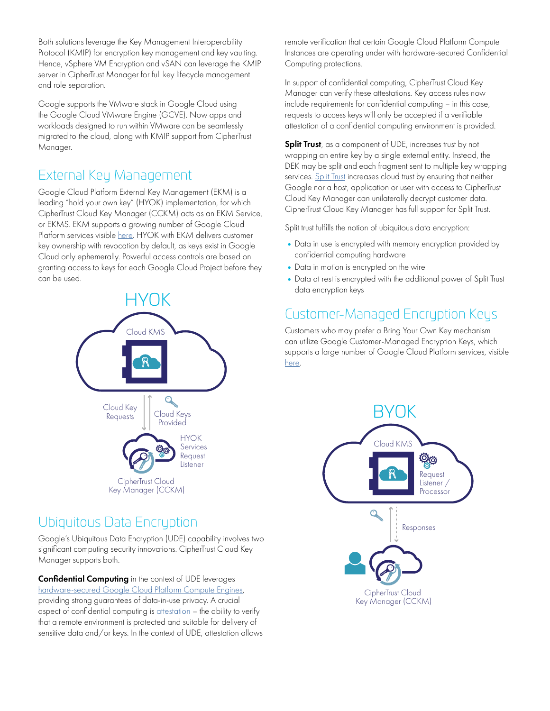Both solutions leverage the Key Management Interoperability Protocol (KMIP) for encryption key management and key vaulting. Hence, vSphere VM Encryption and vSAN can leverage the KMIP server in CipherTrust Manager for full key lifecycle management and role separation.

Google supports the VMware stack in Google Cloud using the Google Cloud VMware Engine (GCVE). Now apps and workloads designed to run within VMware can be seamlessly migrated to the cloud, along with KMIP support from CipherTrust Manager.

## External Key Management

Google Cloud Platform External Key Management (EKM) is a leading "hold your own key" (HYOK) implementation, for which CipherTrust Cloud Key Manager (CCKM) acts as an EKM Service, or EKMS. EKM supports a growing number of Google Cloud Platform services visible [here.](https://cloud.google.com/kms/docs/ekm) HYOK with EKM delivers customer key ownership with revocation by default, as keys exist in Google Cloud only ephemerally. Powerful access controls are based on granting access to keys for each Google Cloud Project before they can be used. Big Data



## Ubiquitous Data Encryption

Google's Ubiquitous Data Encryption (UDE) capability involves two significant computing security innovations. CipherTrust Cloud Key Manager supports both.

Confidential Computing in the context of UDE leverages [hardware-secured Google Cloud Platform Compute Engines](https://cloud.google.com/compute/confidential-vm/docs/about-cvm), providing strong guarantees of data-in-use privacy. A crucial aspect of confidential computing is [attestation](https://cloud.google.com/compute/confidential-vm/docs/monitoring) - the ability to verify that a remote environment is protected and suitable for delivery of sensitive data and/or keys. In the context of UDE, attestation allows remote verification that certain Google Cloud Platform Compute Instances are operating under with hardware-secured Confidential Computing protections.

In support of confidential computing, CipherTrust Cloud Key Manager can verify these attestations. Key access rules now  $int$ include requirements for confidential computing – in this case, requests to access keys will only be accepted if a verifiable attestation of a confidential computing environment is provided.

Split Trust, as a component of UDE, increases trust by not opin 11 by, as a component of ODE, increases hear by not<br>wrapping an entire key by a single external entity. Instead, the DEK may be split and each fragment sent to multiple key wrapping services. [Split Trust](https://cloud.google.com/compute/confidential-vm/docs/ubiquitous-data-encryption#split_trust) increases cloud trust by ensuring that neither Google nor a host, application or user with access to CipherTrust Cloud Key Manager can unilaterally decrypt customer data.<br>Cloud Key Manager can unilaterally decrypt customer data. CipherTrust Cloud Key Manager has full support for Split Trust.

Split trust fulfills the notion of ubiquitous data encryption:

- Data in use is encrypted with memory encryption provided by confidential computing hardware
- •Data in motion is encrypted on the wire
- $\bullet$  Data at rest is encrypted with the additional power of Split Trust data encryption keys

# Customer-Managed Encryption Keys

Customers who may prefer a Bring Your Own Key mechanism can utilize Google Customer-Managed Encryption Keys, which supports a large number of Google Cloud Platform services, visible [here.](https://cloud.google.com/kms/docs/using-other-products#cmek_integrations)